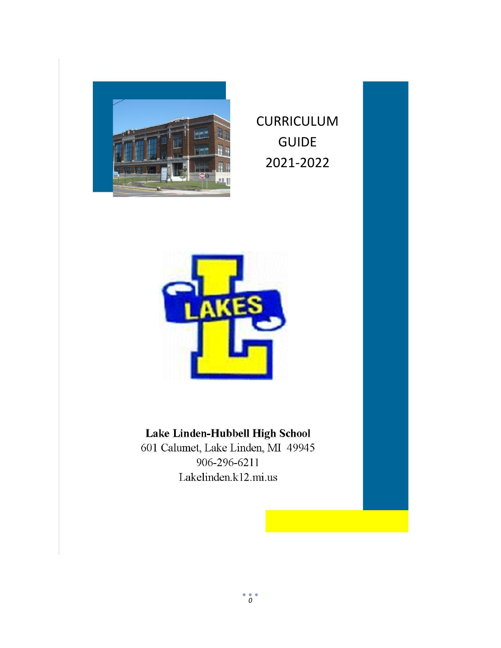

CURRICULUM GUIDE 2021-2022



## Lake Linden-Hubbell High School

601 Calumet, Lake Linden, MI 49945 906-296-6211 Lakelinden.k12.mi.us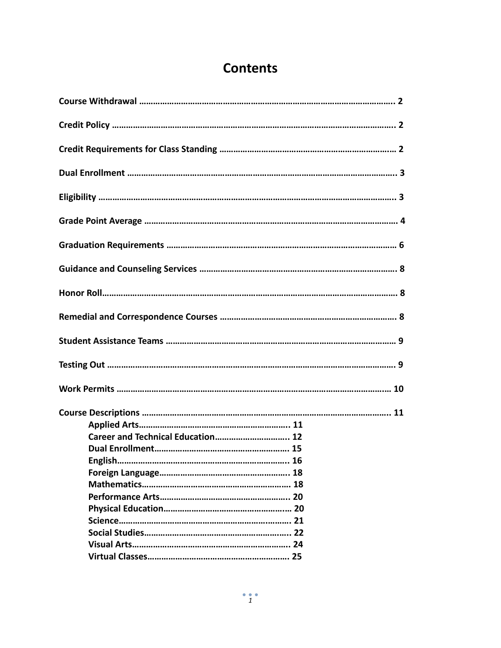## **Contents**

| Career and Technical Education 12 |
|-----------------------------------|
|                                   |
|                                   |
|                                   |
|                                   |
|                                   |
|                                   |
|                                   |
|                                   |
|                                   |
|                                   |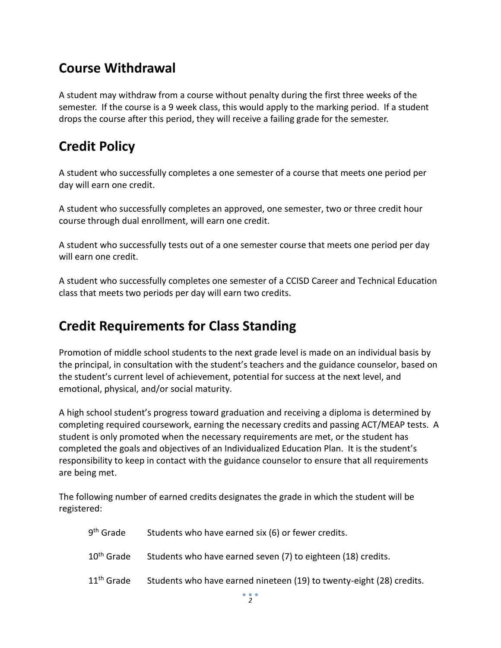## **Course Withdrawal**

A student may withdraw from a course without penalty during the first three weeks of the semester. If the course is a 9 week class, this would apply to the marking period. If a student drops the course after this period, they will receive a failing grade for the semester.

## **Credit Policy**

A student who successfully completes a one semester of a course that meets one period per day will earn one credit.

A student who successfully completes an approved, one semester, two or three credit hour course through dual enrollment, will earn one credit.

A student who successfully tests out of a one semester course that meets one period per day will earn one credit.

A student who successfully completes one semester of a CCISD Career and Technical Education class that meets two periods per day will earn two credits.

## **Credit Requirements for Class Standing**

Promotion of middle school students to the next grade level is made on an individual basis by the principal, in consultation with the student's teachers and the guidance counselor, based on the student's current level of achievement, potential for success at the next level, and emotional, physical, and/or social maturity.

A high school student's progress toward graduation and receiving a diploma is determined by completing required coursework, earning the necessary credits and passing ACT/MEAP tests. A student is only promoted when the necessary requirements are met, or the student has completed the goals and objectives of an Individualized Education Plan. It is the student's responsibility to keep in contact with the guidance counselor to ensure that all requirements are being met.

The following number of earned credits designates the grade in which the student will be registered:

| 9 <sup>th</sup> Grade  | Students who have earned six (6) or fewer credits.                   |
|------------------------|----------------------------------------------------------------------|
| 10 <sup>th</sup> Grade | Students who have earned seven (7) to eighteen (18) credits.         |
| 11 <sup>th</sup> Grade | Students who have earned nineteen (19) to twenty-eight (28) credits. |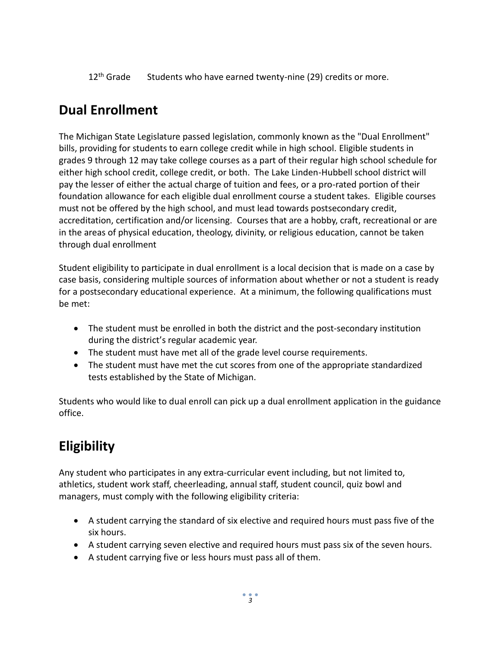12<sup>th</sup> Grade Students who have earned twenty-nine (29) credits or more.

## **Dual Enrollment**

The Michigan State Legislature passed legislation, commonly known as the "Dual Enrollment" bills, providing for students to earn college credit while in high school. Eligible students in grades 9 through 12 may take college courses as a part of their regular high school schedule for either high school credit, college credit, or both. The Lake Linden-Hubbell school district will pay the lesser of either the actual charge of tuition and fees, or a pro-rated portion of their foundation allowance for each eligible dual enrollment course a student takes. Eligible courses must not be offered by the high school, and must lead towards postsecondary credit, accreditation, certification and/or licensing. Courses that are a hobby, craft, recreational or are in the areas of physical education, theology, divinity, or religious education, cannot be taken through dual enrollment

Student eligibility to participate in dual enrollment is a local decision that is made on a case by case basis, considering multiple sources of information about whether or not a student is ready for a postsecondary educational experience. At a minimum, the following qualifications must be met:

- The student must be enrolled in both the district and the post-secondary institution during the district's regular academic year.
- The student must have met all of the grade level course requirements.
- The student must have met the cut scores from one of the appropriate standardized tests established by the State of Michigan.

Students who would like to dual enroll can pick up a dual enrollment application in the guidance office.

## **Eligibility**

Any student who participates in any extra-curricular event including, but not limited to, athletics, student work staff, cheerleading, annual staff, student council, quiz bowl and managers, must comply with the following eligibility criteria:

- A student carrying the standard of six elective and required hours must pass five of the six hours.
- A student carrying seven elective and required hours must pass six of the seven hours.
- A student carrying five or less hours must pass all of them.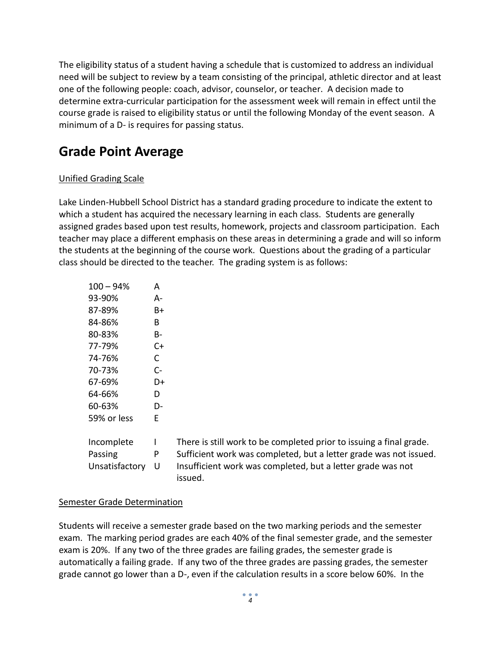The eligibility status of a student having a schedule that is customized to address an individual need will be subject to review by a team consisting of the principal, athletic director and at least one of the following people: coach, advisor, counselor, or teacher. A decision made to determine extra-curricular participation for the assessment week will remain in effect until the course grade is raised to eligibility status or until the following Monday of the event season. A minimum of a D- is requires for passing status.

## **Grade Point Average**

#### Unified Grading Scale

Lake Linden-Hubbell School District has a standard grading procedure to indicate the extent to which a student has acquired the necessary learning in each class. Students are generally assigned grades based upon test results, homework, projects and classroom participation. Each teacher may place a different emphasis on these areas in determining a grade and will so inform the students at the beginning of the course work. Questions about the grading of a particular class should be directed to the teacher. The grading system is as follows:

| $100 - 94%$    | А  |
|----------------|----|
| 93-90%         | А- |
| 87-89%         | B+ |
| 84-86%         | R  |
| 80-83%         | B- |
| 77-79%         | C+ |
| 74-76%         | C  |
| 70-73%         | C- |
| 67-69%         | D+ |
| 64-66%         | D  |
| 60-63%         | D- |
| 59% or less    | E  |
|                |    |
| Incomplete     | ı  |
| Passing        | P  |
| Unsatisfactory | U  |

There is still work to be completed prior to issuing a final grade. Sufficient work was completed, but a letter grade was not issued. Insufficient work was completed, but a letter grade was not issued.

#### Semester Grade Determination

Students will receive a semester grade based on the two marking periods and the semester exam. The marking period grades are each 40% of the final semester grade, and the semester exam is 20%. If any two of the three grades are failing grades, the semester grade is automatically a failing grade. If any two of the three grades are passing grades, the semester grade cannot go lower than a D-, even if the calculation results in a score below 60%. In the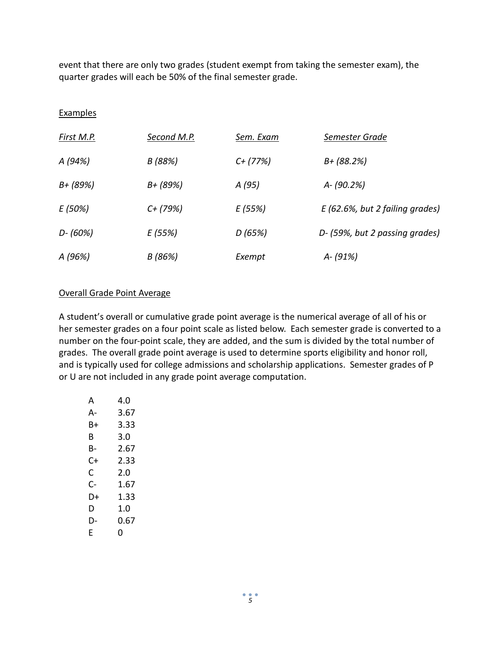event that there are only two grades (student exempt from taking the semester exam), the quarter grades will each be 50% of the final semester grade.

#### Examples

| First M.P.  | Second M.P. | Sem. Exam  | Semester Grade                     |
|-------------|-------------|------------|------------------------------------|
| A (94%)     | B (88%)     | $C+$ (77%) | $B + (88.2%)$                      |
| B+ (89%)    | B+ (89%)    | A (95)     | A-(90.2%)                          |
| E (50%)     | $C+$ (79%)  | E (55%)    | $E(62.6\%$ , but 2 failing grades) |
| $D - (60%)$ | E (55%)     | D (65%)    | D- (59%, but 2 passing grades)     |
| A (96%)     | B (86%)     | Exempt     | $A - (91%)$                        |

#### Overall Grade Point Average

A student's overall or cumulative grade point average is the numerical average of all of his or her semester grades on a four point scale as listed below. Each semester grade is converted to a number on the four-point scale, they are added, and the sum is divided by the total number of grades. The overall grade point average is used to determine sports eligibility and honor roll, and is typically used for college admissions and scholarship applications. Semester grades of P or U are not included in any grade point average computation.

| А  | 4.N  |
|----|------|
| А- | 3.67 |
| B+ | 3.33 |
| R  | 3.0  |
| B- | 2.67 |
| C+ | 2.33 |
| C  | 2.0  |
| C- | 1.67 |
| D+ | 1.33 |
| D  | 1.0  |
| D- | 0.67 |
| F  | 0    |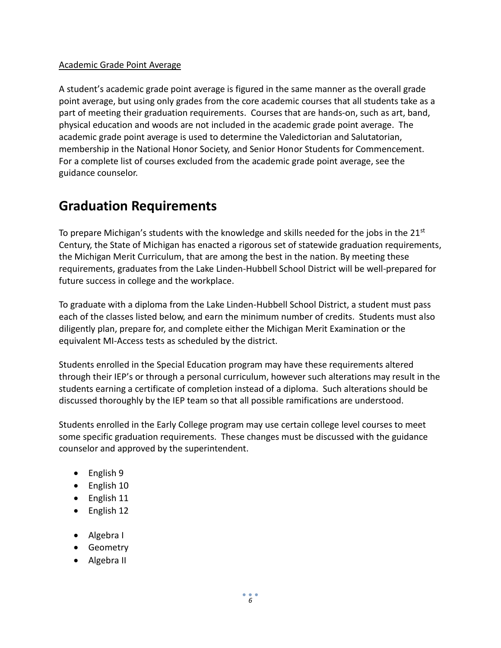#### Academic Grade Point Average

A student's academic grade point average is figured in the same manner as the overall grade point average, but using only grades from the core academic courses that all students take as a part of meeting their graduation requirements. Courses that are hands-on, such as art, band, physical education and woods are not included in the academic grade point average. The academic grade point average is used to determine the Valedictorian and Salutatorian, membership in the National Honor Society, and Senior Honor Students for Commencement. For a complete list of courses excluded from the academic grade point average, see the guidance counselor.

## **Graduation Requirements**

To prepare Michigan's students with the knowledge and skills needed for the jobs in the 21 $\mathrm{^{st}}$ Century, the State of Michigan has enacted a rigorous set of statewide graduation requirements, the Michigan Merit Curriculum, that are among the best in the nation. By meeting these requirements, graduates from the Lake Linden-Hubbell School District will be well-prepared for future success in college and the workplace.

To graduate with a diploma from the Lake Linden-Hubbell School District, a student must pass each of the classes listed below, and earn the minimum number of credits. Students must also diligently plan, prepare for, and complete either the Michigan Merit Examination or the equivalent MI-Access tests as scheduled by the district.

Students enrolled in the Special Education program may have these requirements altered through their IEP's or through a personal curriculum, however such alterations may result in the students earning a certificate of completion instead of a diploma. Such alterations should be discussed thoroughly by the IEP team so that all possible ramifications are understood.

Students enrolled in the Early College program may use certain college level courses to meet some specific graduation requirements. These changes must be discussed with the guidance counselor and approved by the superintendent.

- $\bullet$  English 9
- English 10
- English 11
- English 12
- Algebra I
- **•** Geometry
- Algebra II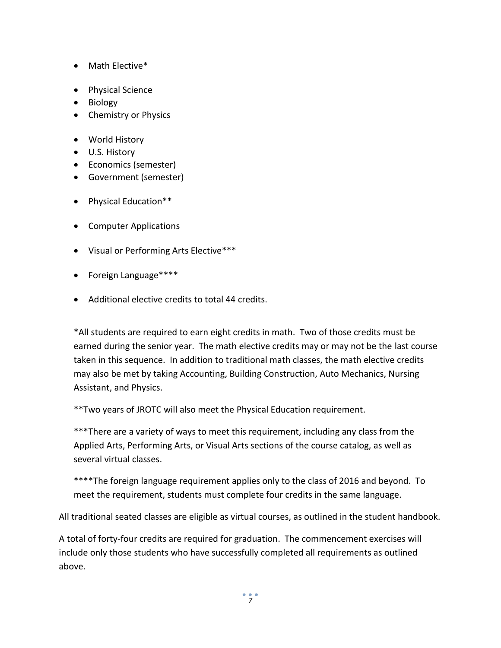- Math Elective\*
- Physical Science
- Biology
- Chemistry or Physics
- World History
- U.S. History
- Economics (semester)
- Government (semester)
- Physical Education\*\*
- Computer Applications
- Visual or Performing Arts Elective\*\*\*
- Foreign Language\*\*\*\*
- Additional elective credits to total 44 credits.

\*All students are required to earn eight credits in math. Two of those credits must be earned during the senior year. The math elective credits may or may not be the last course taken in this sequence. In addition to traditional math classes, the math elective credits may also be met by taking Accounting, Building Construction, Auto Mechanics, Nursing Assistant, and Physics.

\*\*Two years of JROTC will also meet the Physical Education requirement.

\*\*\*There are a variety of ways to meet this requirement, including any class from the Applied Arts, Performing Arts, or Visual Arts sections of the course catalog, as well as several virtual classes.

\*\*\*\*The foreign language requirement applies only to the class of 2016 and beyond. To meet the requirement, students must complete four credits in the same language.

All traditional seated classes are eligible as virtual courses, as outlined in the student handbook.

A total of forty-four credits are required for graduation. The commencement exercises will include only those students who have successfully completed all requirements as outlined above.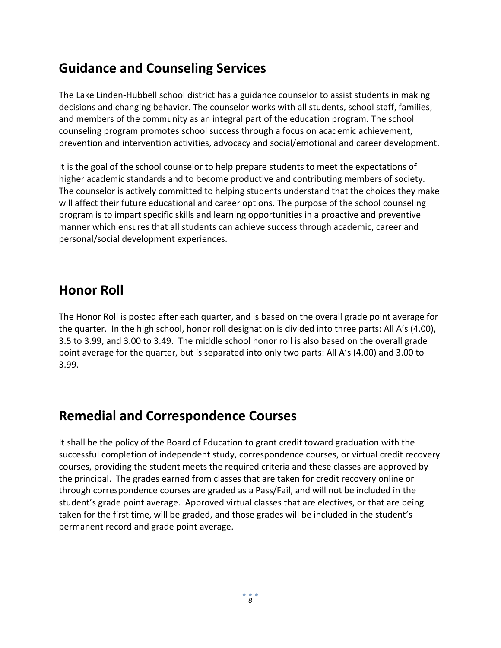## **Guidance and Counseling Services**

The Lake Linden-Hubbell school district has a guidance counselor to assist students in making decisions and changing behavior. The counselor works with all students, school staff, families, and members of the community as an integral part of the education program. The school counseling program promotes school success through a focus on academic achievement, prevention and intervention activities, advocacy and social/emotional and career development.

It is the goal of the school counselor to help prepare students to meet the expectations of higher academic standards and to become productive and contributing members of society. The counselor is actively committed to helping students understand that the choices they make will affect their future educational and career options. The purpose of the school counseling program is to impart specific skills and learning opportunities in a proactive and preventive manner which ensures that all students can achieve success through academic, career and personal/social development experiences.

### **Honor Roll**

The Honor Roll is posted after each quarter, and is based on the overall grade point average for the quarter. In the high school, honor roll designation is divided into three parts: All A's (4.00), 3.5 to 3.99, and 3.00 to 3.49. The middle school honor roll is also based on the overall grade point average for the quarter, but is separated into only two parts: All A's (4.00) and 3.00 to 3.99.

## **Remedial and Correspondence Courses**

It shall be the policy of the Board of Education to grant credit toward graduation with the successful completion of independent study, correspondence courses, or virtual credit recovery courses, providing the student meets the required criteria and these classes are approved by the principal. The grades earned from classes that are taken for credit recovery online or through correspondence courses are graded as a Pass/Fail, and will not be included in the student's grade point average. Approved virtual classes that are electives, or that are being taken for the first time, will be graded, and those grades will be included in the student's permanent record and grade point average.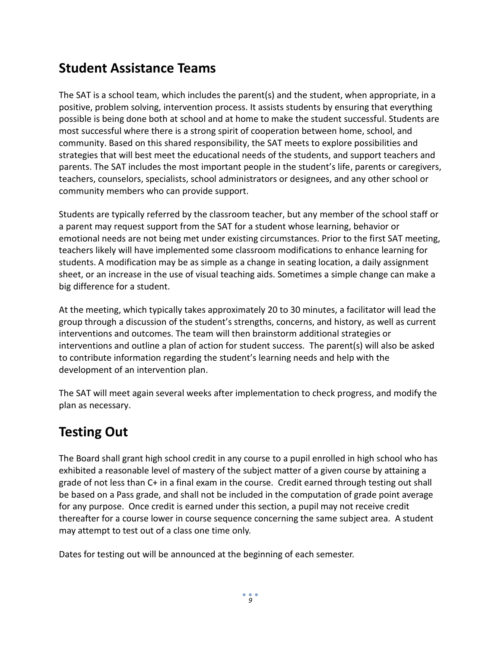## **Student Assistance Teams**

The SAT is a school team, which includes the parent(s) and the student, when appropriate, in a positive, problem solving, intervention process. It assists students by ensuring that everything possible is being done both at school and at home to make the student successful. Students are most successful where there is a strong spirit of cooperation between home, school, and community. Based on this shared responsibility, the SAT meets to explore possibilities and strategies that will best meet the educational needs of the students, and support teachers and parents. The SAT includes the most important people in the student's life, parents or caregivers, teachers, counselors, specialists, school administrators or designees, and any other school or community members who can provide support.

Students are typically referred by the classroom teacher, but any member of the school staff or a parent may request support from the SAT for a student whose learning, behavior or emotional needs are not being met under existing circumstances. Prior to the first SAT meeting, teachers likely will have implemented some classroom modifications to enhance learning for students. A modification may be as simple as a change in seating location, a daily assignment sheet, or an increase in the use of visual teaching aids. Sometimes a simple change can make a big difference for a student.

At the meeting, which typically takes approximately 20 to 30 minutes, a facilitator will lead the group through a discussion of the student's strengths, concerns, and history, as well as current interventions and outcomes. The team will then brainstorm additional strategies or interventions and outline a plan of action for student success. The parent(s) will also be asked to contribute information regarding the student's learning needs and help with the development of an intervention plan.

The SAT will meet again several weeks after implementation to check progress, and modify the plan as necessary.

## **Testing Out**

The Board shall grant high school credit in any course to a pupil enrolled in high school who has exhibited a reasonable level of mastery of the subject matter of a given course by attaining a grade of not less than C+ in a final exam in the course. Credit earned through testing out shall be based on a Pass grade, and shall not be included in the computation of grade point average for any purpose. Once credit is earned under this section, a pupil may not receive credit thereafter for a course lower in course sequence concerning the same subject area. A student may attempt to test out of a class one time only.

Dates for testing out will be announced at the beginning of each semester.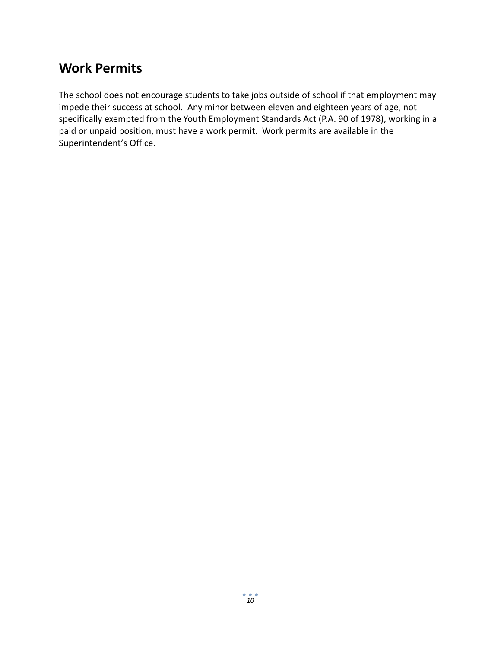## **Work Permits**

The school does not encourage students to take jobs outside of school if that employment may impede their success at school. Any minor between eleven and eighteen years of age, not specifically exempted from the Youth Employment Standards Act (P.A. 90 of 1978), working in a paid or unpaid position, must have a work permit. Work permits are available in the Superintendent's Office.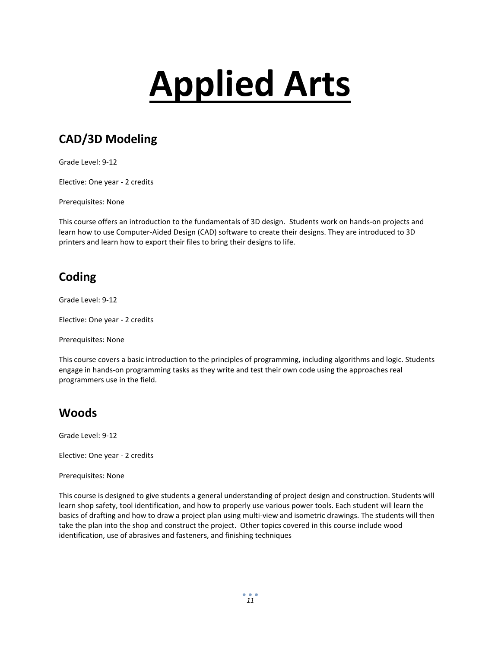# **Applied Arts**

### **CAD/3D Modeling**

Grade Level: 9-12

Elective: One year - 2 credits

Prerequisites: None

This course offers an introduction to the fundamentals of 3D design. Students work on hands-on projects and learn how to use Computer-Aided Design (CAD) software to create their designs. They are introduced to 3D printers and learn how to export their files to bring their designs to life.

#### **Coding**

Grade Level: 9-12

Elective: One year - 2 credits

Prerequisites: None

This course covers a basic introduction to the principles of programming, including algorithms and logic. Students engage in hands-on programming tasks as they write and test their own code using the approaches real programmers use in the field.

#### **Woods**

Grade Level: 9-12

Elective: One year - 2 credits

Prerequisites: None

This course is designed to give students a general understanding of project design and construction. Students will learn shop safety, tool identification, and how to properly use various power tools. Each student will learn the basics of drafting and how to draw a project plan using multi-view and isometric drawings. The students will then take the plan into the shop and construct the project. Other topics covered in this course include wood identification, use of abrasives and fasteners, and finishing techniques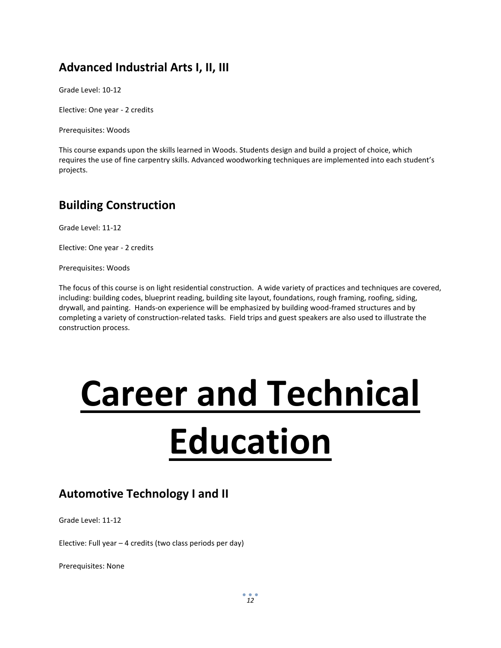#### **Advanced Industrial Arts I, II, III**

Grade Level: 10-12

Elective: One year - 2 credits

Prerequisites: Woods

This course expands upon the skills learned in Woods. Students design and build a project of choice, which requires the use of fine carpentry skills. Advanced woodworking techniques are implemented into each student's projects.

#### **Building Construction**

Grade Level: 11-12

Elective: One year - 2 credits

Prerequisites: Woods

The focus of this course is on light residential construction. A wide variety of practices and techniques are covered, including: building codes, blueprint reading, building site layout, foundations, rough framing, roofing, siding, drywall, and painting. Hands-on experience will be emphasized by building wood-framed structures and by completing a variety of construction-related tasks. Field trips and guest speakers are also used to illustrate the construction process.

# **Career and Technical Education**

#### **Automotive Technology I and II**

Grade Level: 11-12

Elective: Full year – 4 credits (two class periods per day)

Prerequisites: None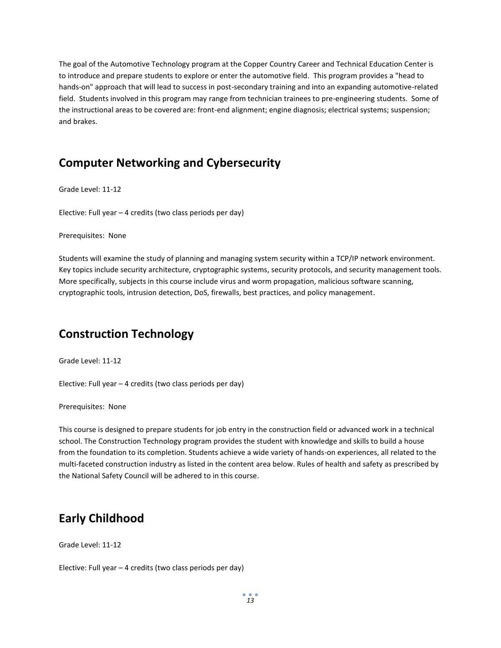The goal of the Automotive Technology program at the Copper Country Career and Technical Education Center is to introduce and prepare students to explore or enter the automotive field. This program provides a "head to hands-on" approach that will lead to success in post-secondary training and into an expanding automotive-related field. Students involved in this program may range from technician trainees to pre-engineering students. Some of the instructional areas to be covered are: front-end alignment; engine diagnosis; electrical systems; suspension; and brakes.

#### **Computer Networking and Cybersecurity**

Grade Level: 11-12

Elective: Full year – 4 credits (two class periods per day)

#### Prerequisites: None

Students will examine the study of planning and managing system security within a TCP/IP network environment. Key topics include security architecture, cryptographic systems, security protocols, and security management tools. More specifically, subjects in this course include virus and worm propagation, malicious software scanning, cryptographic tools, intrusion detection, DoS, firewalls, best practices, and policy management.

#### **Construction Technology**

Grade Level: 11-12

Elective: Full year – 4 credits (two class periods per day)

Prerequisites: None

This course is designed to prepare students for job entry in the construction field or advanced work in a technical school. The Construction Technology program provides the student with knowledge and skills to build a house from the foundation to its completion. Students achieve a wide variety of hands-on experiences, all related to the multi-faceted construction industry as listed in the content area below. Rules of health and safety as prescribed by the National Safety Council will be adhered to in this course.

#### **Early Childhood**

Grade Level: 11-12

Elective: Full year – 4 credits (two class periods per day)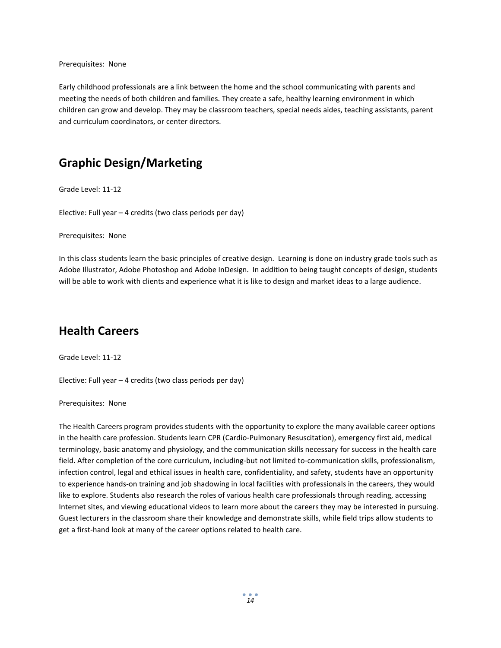Prerequisites: None

Early childhood professionals are a link between the home and the school communicating with parents and meeting the needs of both children and families. They create a safe, healthy learning environment in which children can grow and develop. They may be classroom teachers, special needs aides, teaching assistants, parent and curriculum coordinators, or center directors.

#### **Graphic Design/Marketing**

Grade Level: 11-12

Elective: Full year – 4 credits (two class periods per day)

Prerequisites: None

In this class students learn the basic principles of creative design. Learning is done on industry grade tools such as Adobe Illustrator, Adobe Photoshop and Adobe InDesign. In addition to being taught concepts of design, students will be able to work with clients and experience what it is like to design and market ideas to a large audience.

#### **Health Careers**

Grade Level: 11-12

Elective: Full year – 4 credits (two class periods per day)

Prerequisites: None

The Health Careers program provides students with the opportunity to explore the many available career options in the health care profession. Students learn CPR (Cardio-Pulmonary Resuscitation), emergency first aid, medical terminology, basic anatomy and physiology, and the communication skills necessary for success in the health care field. After completion of the core curriculum, including-but not limited to-communication skills, professionalism, infection control, legal and ethical issues in health care, confidentiality, and safety, students have an opportunity to experience hands-on training and job shadowing in local facilities with professionals in the careers, they would like to explore. Students also research the roles of various health care professionals through reading, accessing Internet sites, and viewing educational videos to learn more about the careers they may be interested in pursuing. Guest lecturers in the classroom share their knowledge and demonstrate skills, while field trips allow students to get a first-hand look at many of the career options related to health care.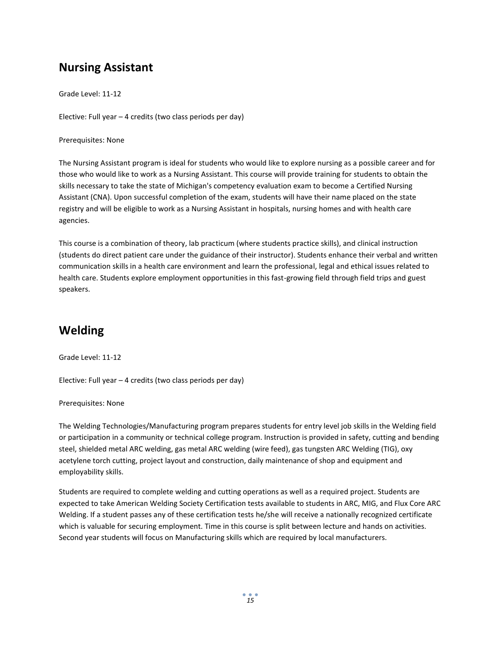#### **Nursing Assistant**

Grade Level: 11-12

Elective: Full year – 4 credits (two class periods per day)

Prerequisites: None

The Nursing Assistant program is ideal for students who would like to explore nursing as a possible career and for those who would like to work as a Nursing Assistant. This course will provide training for students to obtain the skills necessary to take the state of Michigan's competency evaluation exam to become a Certified Nursing Assistant (CNA). Upon successful completion of the exam, students will have their name placed on the state registry and will be eligible to work as a Nursing Assistant in hospitals, nursing homes and with health care agencies.

This course is a combination of theory, lab practicum (where students practice skills), and clinical instruction (students do direct patient care under the guidance of their instructor). Students enhance their verbal and written communication skills in a health care environment and learn the professional, legal and ethical issues related to health care. Students explore employment opportunities in this fast-growing field through field trips and guest speakers.

### **Welding**

Grade Level: 11-12

Elective: Full year – 4 credits (two class periods per day)

Prerequisites: None

The Welding Technologies/Manufacturing program prepares students for entry level job skills in the Welding field or participation in a community or technical college program. Instruction is provided in safety, cutting and bending steel, shielded metal ARC welding, gas metal ARC welding (wire feed), gas tungsten ARC Welding (TIG), oxy acetylene torch cutting, project layout and construction, daily maintenance of shop and equipment and employability skills.

Students are required to complete welding and cutting operations as well as a required project. Students are expected to take American Welding Society Certification tests available to students in ARC, MIG, and Flux Core ARC Welding. If a student passes any of these certification tests he/she will receive a nationally recognized certificate which is valuable for securing employment. Time in this course is split between lecture and hands on activities. Second year students will focus on Manufacturing skills which are required by local manufacturers.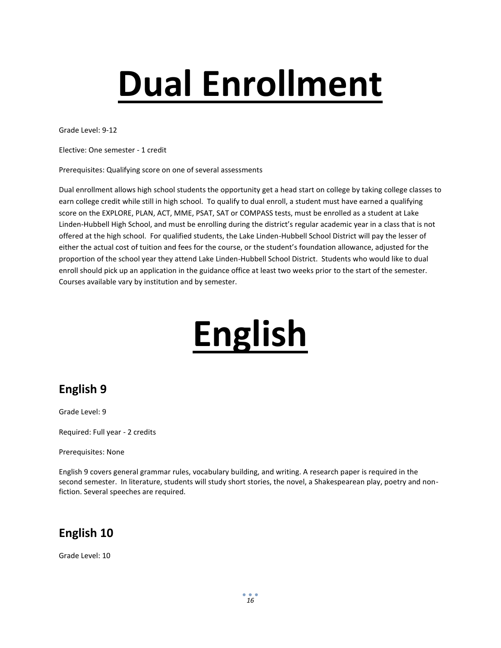# **Dual Enrollment**

Grade Level: 9-12

Elective: One semester - 1 credit

Prerequisites: Qualifying score on one of several assessments

Dual enrollment allows high school students the opportunity get a head start on college by taking college classes to earn college credit while still in high school. To qualify to dual enroll, a student must have earned a qualifying score on the EXPLORE, PLAN, ACT, MME, PSAT, SAT or COMPASS tests, must be enrolled as a student at Lake Linden-Hubbell High School, and must be enrolling during the district's regular academic year in a class that is not offered at the high school. For qualified students, the Lake Linden-Hubbell School District will pay the lesser of either the actual cost of tuition and fees for the course, or the student's foundation allowance, adjusted for the proportion of the school year they attend Lake Linden-Hubbell School District. Students who would like to dual enroll should pick up an application in the guidance office at least two weeks prior to the start of the semester. Courses available vary by institution and by semester.

## **English**

#### **English 9**

Grade Level: 9

Required: Full year - 2 credits

Prerequisites: None

English 9 covers general grammar rules, vocabulary building, and writing. A research paper is required in the second semester. In literature, students will study short stories, the novel, a Shakespearean play, poetry and nonfiction. Several speeches are required.

#### **English 10**

Grade Level: 10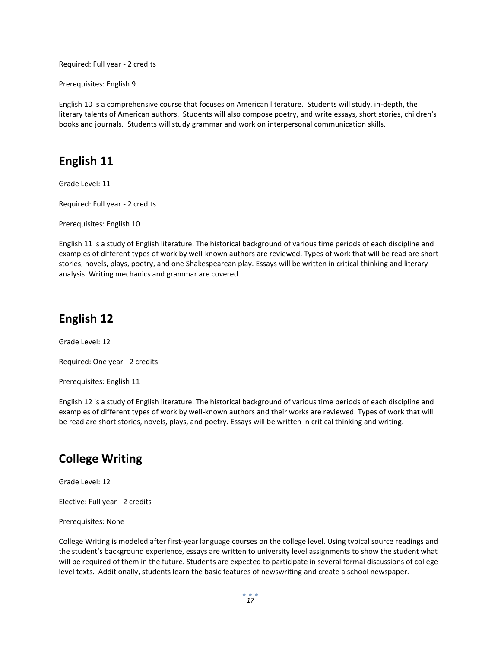Required: Full year - 2 credits

Prerequisites: English 9

English 10 is a comprehensive course that focuses on American literature. Students will study, in-depth, the literary talents of American authors. Students will also compose poetry, and write essays, short stories, children's books and journals. Students will study grammar and work on interpersonal communication skills.

#### **English 11**

Grade Level: 11

Required: Full year - 2 credits

Prerequisites: English 10

English 11 is a study of English literature. The historical background of various time periods of each discipline and examples of different types of work by well-known authors are reviewed. Types of work that will be read are short stories, novels, plays, poetry, and one Shakespearean play. Essays will be written in critical thinking and literary analysis. Writing mechanics and grammar are covered.

#### **English 12**

Grade Level: 12

Required: One year - 2 credits

Prerequisites: English 11

English 12 is a study of English literature. The historical background of various time periods of each discipline and examples of different types of work by well-known authors and their works are reviewed. Types of work that will be read are short stories, novels, plays, and poetry. Essays will be written in critical thinking and writing.

#### **College Writing**

Grade Level: 12

Elective: Full year - 2 credits

Prerequisites: None

College Writing is modeled after first-year language courses on the college level. Using typical source readings and the student's background experience, essays are written to university level assignments to show the student what will be required of them in the future. Students are expected to participate in several formal discussions of collegelevel texts. Additionally, students learn the basic features of newswriting and create a school newspaper.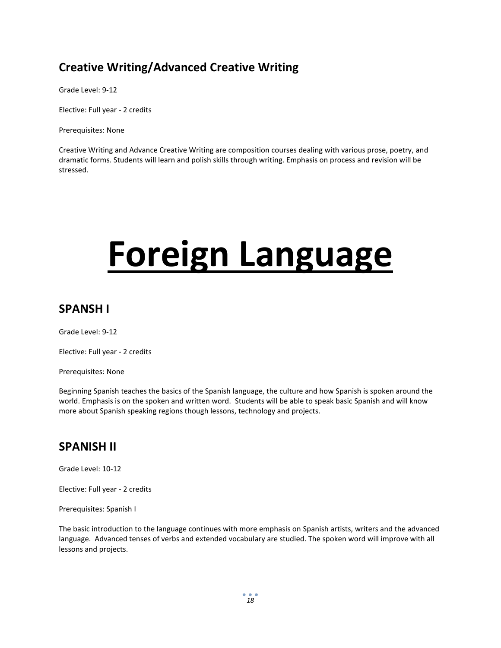#### **Creative Writing/Advanced Creative Writing**

Grade Level: 9-12

Elective: Full year - 2 credits

Prerequisites: None

Creative Writing and Advance Creative Writing are composition courses dealing with various prose, poetry, and dramatic forms. Students will learn and polish skills through writing. Emphasis on process and revision will be stressed.

## **Foreign Language**

#### **SPANSH I**

Grade Level: 9-12

Elective: Full year - 2 credits

Prerequisites: None

Beginning Spanish teaches the basics of the Spanish language, the culture and how Spanish is spoken around the world. Emphasis is on the spoken and written word. Students will be able to speak basic Spanish and will know more about Spanish speaking regions though lessons, technology and projects.

#### **SPANISH II**

Grade Level: 10-12

Elective: Full year - 2 credits

Prerequisites: Spanish I

The basic introduction to the language continues with more emphasis on Spanish artists, writers and the advanced language. Advanced tenses of verbs and extended vocabulary are studied. The spoken word will improve with all lessons and projects.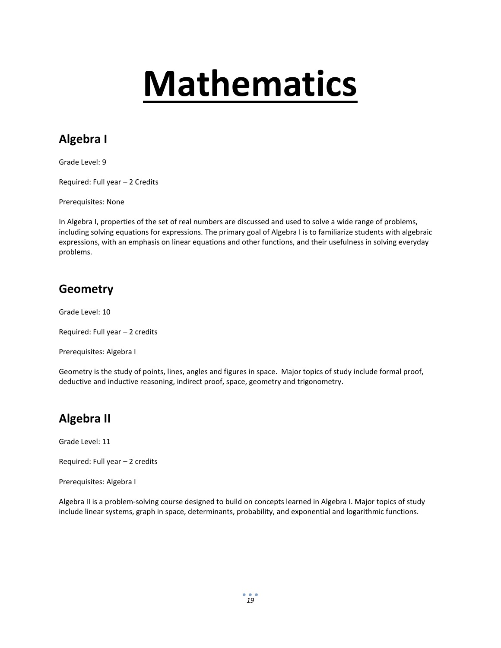## **Mathematics**

## **Algebra I**

Grade Level: 9

Required: Full year – 2 Credits

Prerequisites: None

In Algebra I, properties of the set of real numbers are discussed and used to solve a wide range of problems, including solving equations for expressions. The primary goal of Algebra I is to familiarize students with algebraic expressions, with an emphasis on linear equations and other functions, and their usefulness in solving everyday problems.

#### **Geometry**

Grade Level: 10

Required: Full year – 2 credits

Prerequisites: Algebra I

Geometry is the study of points, lines, angles and figures in space. Major topics of study include formal proof, deductive and inductive reasoning, indirect proof, space, geometry and trigonometry.

#### **Algebra II**

Grade Level: 11

Required: Full year – 2 credits

Prerequisites: Algebra I

Algebra II is a problem-solving course designed to build on concepts learned in Algebra I. Major topics of study include linear systems, graph in space, determinants, probability, and exponential and logarithmic functions.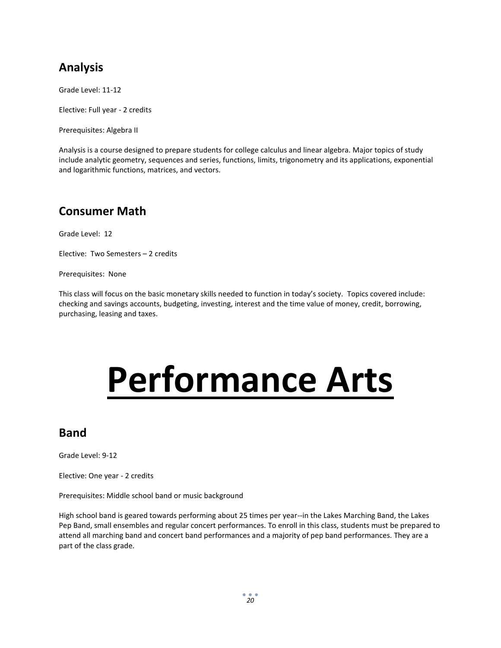### **Analysis**

Grade Level: 11-12

Elective: Full year - 2 credits

Prerequisites: Algebra II

Analysis is a course designed to prepare students for college calculus and linear algebra. Major topics of study include analytic geometry, sequences and series, functions, limits, trigonometry and its applications, exponential and logarithmic functions, matrices, and vectors.

#### **Consumer Math**

Grade Level: 12

Elective: Two Semesters – 2 credits

Prerequisites: None

This class will focus on the basic monetary skills needed to function in today's society. Topics covered include: checking and savings accounts, budgeting, investing, interest and the time value of money, credit, borrowing, purchasing, leasing and taxes.

## **Performance Arts**

#### **Band**

Grade Level: 9-12

Elective: One year - 2 credits

Prerequisites: Middle school band or music background

High school band is geared towards performing about 25 times per year--in the Lakes Marching Band, the Lakes Pep Band, small ensembles and regular concert performances. To enroll in this class, students must be prepared to attend all marching band and concert band performances and a majority of pep band performances. They are a part of the class grade.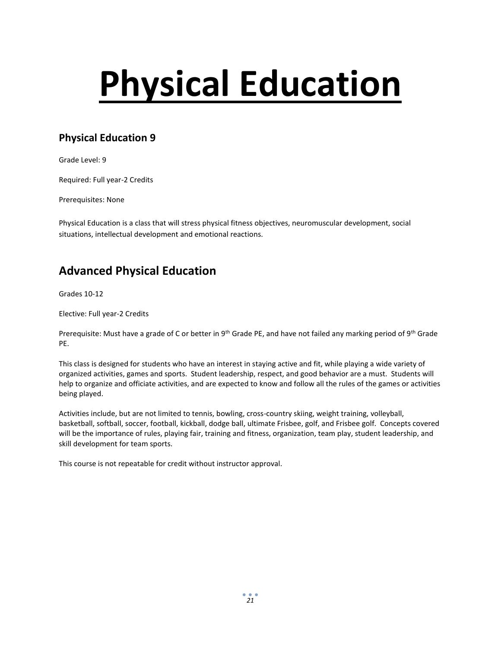# **Physical Education**

#### **Physical Education 9**

Grade Level: 9

Required: Full year-2 Credits

Prerequisites: None

Physical Education is a class that will stress physical fitness objectives, neuromuscular development, social situations, intellectual development and emotional reactions.

#### **Advanced Physical Education**

Grades 10-12

Elective: Full year-2 Credits

Prerequisite: Must have a grade of C or better in 9<sup>th</sup> Grade PE, and have not failed any marking period of 9<sup>th</sup> Grade PE.

This class is designed for students who have an interest in staying active and fit, while playing a wide variety of organized activities, games and sports. Student leadership, respect, and good behavior are a must. Students will help to organize and officiate activities, and are expected to know and follow all the rules of the games or activities being played.

Activities include, but are not limited to tennis, bowling, cross-country skiing, weight training, volleyball, basketball, softball, soccer, football, kickball, dodge ball, ultimate Frisbee, golf, and Frisbee golf. Concepts covered will be the importance of rules, playing fair, training and fitness, organization, team play, student leadership, and skill development for team sports.

This course is not repeatable for credit without instructor approval.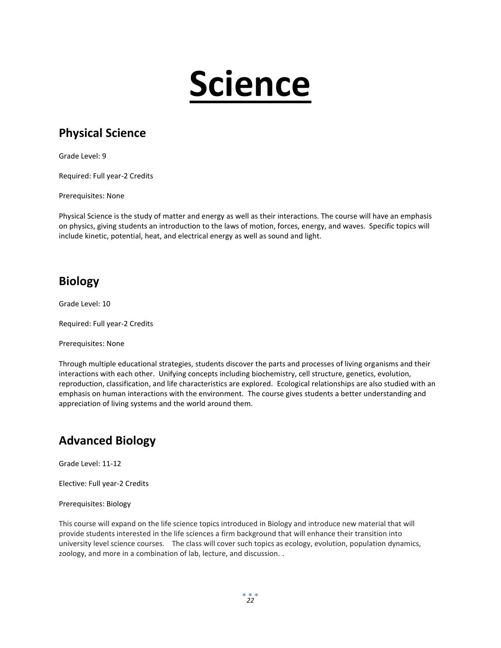## **Science**

### **Physical Science**

Grade Level: 9

Required: Full year-2 Credits

Prerequisites: None

Physical Science is the study of matter and energy as well as their interactions. The course will have an emphasis on physics, giving students an introduction to the laws of motion, forces, energy, and waves. Specific topics will include kinetic, potential, heat, and electrical energy as well as sound and light.

#### **Biology**

Grade Level: 10

Required: Full year-2 Credits

Prerequisites: None

Through multiple educational strategies, students discover the parts and processes of living organisms and their interactions with each other. Unifying concepts including biochemistry, cell structure, genetics, evolution, reproduction, classification, and life characteristics are explored. Ecological relationships are also studied with an emphasis on human interactions with the environment. The course gives students a better understanding and appreciation of living systems and the world around them.

#### **Advanced Biology**

Grade Level: 11-12

Elective: Full year-2 Credits

Prerequisites: Biology

This course will expand on the life science topics introduced in Biology and introduce new material that will provide students interested in the life sciences a firm background that will enhance their transition into university level science courses. The class will cover such topics as ecology, evolution, population dynamics, zoology, and more in a combination of lab, lecture, and discussion. .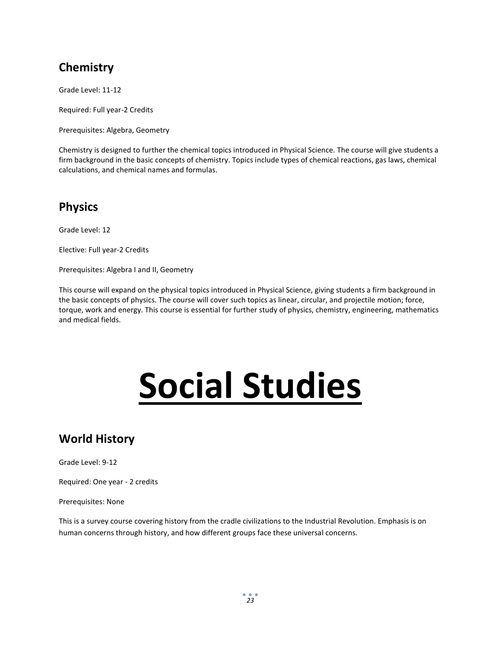### **Chemistry**

Grade Level: 11-12

Required: Full year-2 Credits

Prerequisites: Algebra, Geometry

Chemistry is designed to further the chemical topics introduced in Physical Science. The course will give students a firm background in the basic concepts of chemistry. Topics include types of chemical reactions, gas laws, chemical calculations, and chemical names and formulas.

#### **Physics**

Grade Level: 12

Elective: Full year-2 Credits

Prerequisites: Algebra I and II, Geometry

This course will expand on the physical topics introduced in Physical Science, giving students a firm background in the basic concepts of physics. The course will cover such topics as linear, circular, and projectile motion; force, torque, work and energy. This course is essential for further study of physics, chemistry, engineering, mathematics and medical fields.

## **Social Studies**

#### **World History**

Grade Level: 9-12

Required: One year - 2 credits

Prerequisites: None

This is a survey course covering history from the cradle civilizations to the Industrial Revolution. Emphasis is on human concerns through history, and how different groups face these universal concerns.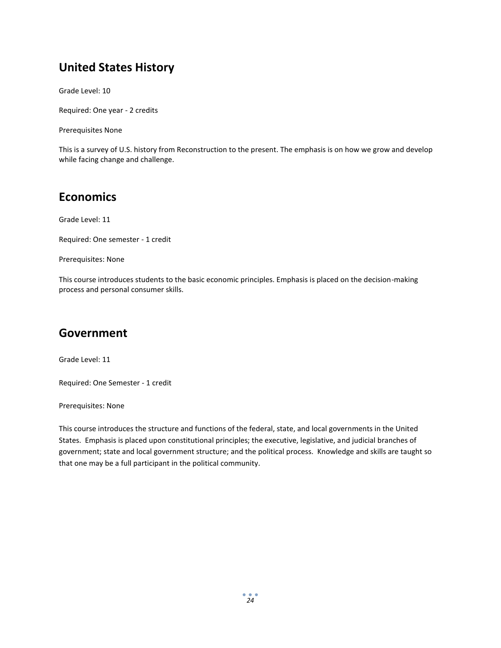#### **United States History**

Grade Level: 10

Required: One year - 2 credits

Prerequisites None

This is a survey of U.S. history from Reconstruction to the present. The emphasis is on how we grow and develop while facing change and challenge.

#### **Economics**

Grade Level: 11

Required: One semester - 1 credit

Prerequisites: None

This course introduces students to the basic economic principles. Emphasis is placed on the decision-making process and personal consumer skills.

#### **Government**

Grade Level: 11

Required: One Semester - 1 credit

Prerequisites: None

This course introduces the structure and functions of the federal, state, and local governments in the United States. Emphasis is placed upon constitutional principles; the executive, legislative, and judicial branches of government; state and local government structure; and the political process. Knowledge and skills are taught so that one may be a full participant in the political community.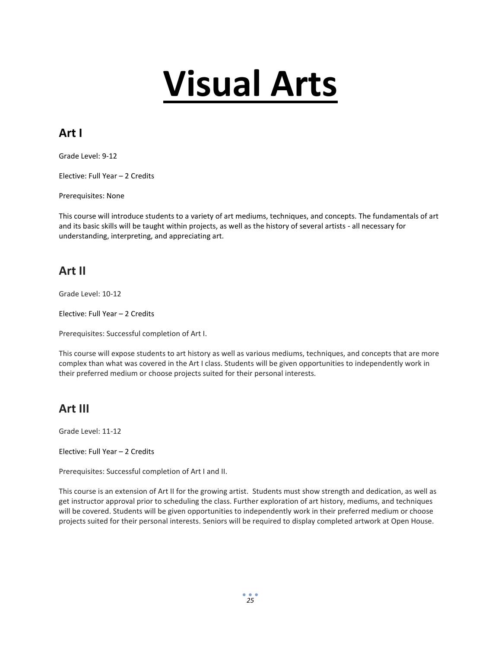## **Visual Arts**

### **Art I**

Grade Level: 9-12

Elective: Full Year – 2 Credits

Prerequisites: None

This course will introduce students to a variety of art mediums, techniques, and concepts. The fundamentals of art and its basic skills will be taught within projects, as well as the history of several artists - all necessary for understanding, interpreting, and appreciating art.

#### **Art II**

Grade Level: 10-12

Elective: Full Year – 2 Credits

Prerequisites: Successful completion of Art I.

This course will expose students to art history as well as various mediums, techniques, and concepts that are more complex than what was covered in the Art I class. Students will be given opportunities to independently work in their preferred medium or choose projects suited for their personal interests.

#### **Art III**

Grade Level: 11-12

Elective: Full Year – 2 Credits

Prerequisites: Successful completion of Art I and II.

This course is an extension of Art II for the growing artist. Students must show strength and dedication, as well as get instructor approval prior to scheduling the class. Further exploration of art history, mediums, and techniques will be covered. Students will be given opportunities to independently work in their preferred medium or choose projects suited for their personal interests. Seniors will be required to display completed artwork at Open House.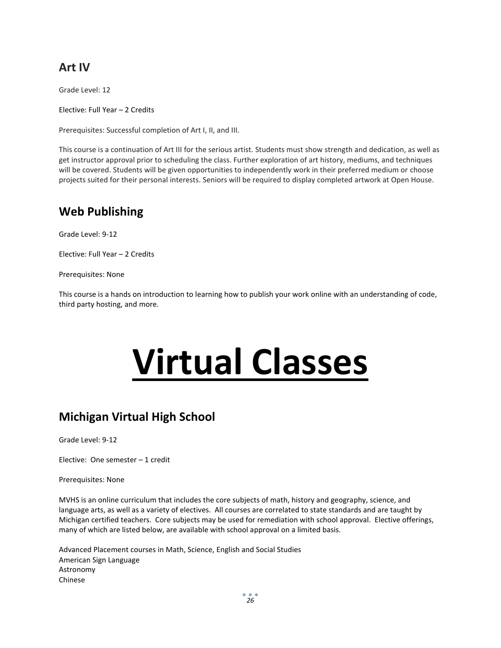#### **Art IV**

Grade Level: 12

Elective: Full Year – 2 Credits

Prerequisites: Successful completion of Art I, II, and III.

This course is a continuation of Art III for the serious artist. Students must show strength and dedication, as well as get instructor approval prior to scheduling the class. Further exploration of art history, mediums, and techniques will be covered. Students will be given opportunities to independently work in their preferred medium or choose projects suited for their personal interests. Seniors will be required to display completed artwork at Open House.

#### **Web Publishing**

Grade Level: 9-12

Elective: Full Year – 2 Credits

Prerequisites: None

This course is a hands on introduction to learning how to publish your work online with an understanding of code, third party hosting, and more.

## **Virtual Classes**

#### **Michigan Virtual High School**

Grade Level: 9-12

Elective: One semester – 1 credit

Prerequisites: None

MVHS is an online curriculum that includes the core subjects of math, history and geography, science, and language arts, as well as a variety of electives. All courses are correlated to state standards and are taught by Michigan certified teachers. Core subjects may be used for remediation with school approval. Elective offerings, many of which are listed below, are available with school approval on a limited basis.

Advanced Placement courses in Math, Science, English and Social Studies American Sign Language Astronomy Chinese